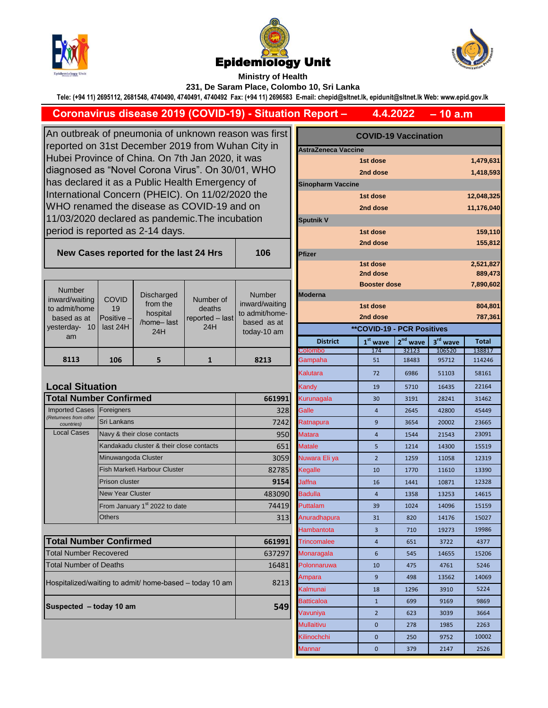





**Ministry of Health** 

**231, De Saram Place, Colombo 10, Sri Lanka**

**Tele: (+94 11) 2695112, 2681548, 4740490, 4740491, 4740492 Fax: (+94 11) 2696583 E-mail: chepid@sltnet.lk, epidunit@sltnet.lk Web: www.epid.gov.lk**

**Coronavirus disease 2019 (COVID-19) - Situation Report –**

**– 10 a.m 4.4.2022**

An outbreak of pneumonia of unknown reason was first reported on 31st December 2019 from Wuhan City in Hubei Province of China. On 7th Jan 2020, it was diagnosed as "Novel Corona Virus". On 30/01, WHO has declared it as a Public Health Emergency of International Concern (PHEIC). On 11/02/2020 the WHO renamed the disease as COVID-19 and on 11/03/2020 declared as pandemic.The incubation period is reported as 2-14 days. **New Cases reported for the last 24 Hrs 106**

|                                                         |                                       |                                                                |                                               |                                 | <b>Booster dose</b>               |                |            |          | 7,890,6      |
|---------------------------------------------------------|---------------------------------------|----------------------------------------------------------------|-----------------------------------------------|---------------------------------|-----------------------------------|----------------|------------|----------|--------------|
| Number<br>inward/waiting                                | COVID<br>19<br>Positive -<br>last 24H | <b>Discharged</b><br>from the<br>hospital<br>/home-last<br>24H | Number of<br>deaths<br>reported - last<br>24H | <b>Number</b><br>inward/waiting | <b>Moderna</b>                    |                |            |          |              |
| to admit/home                                           |                                       |                                                                |                                               |                                 | 1st dose                          |                |            |          | 804.8        |
| based as at                                             |                                       |                                                                |                                               | to admit/home-<br>based as at   |                                   | 2nd dose       |            |          | 787,3        |
| yesterday- 10                                           |                                       |                                                                |                                               | today-10 am                     | <b>**COVID-19 - PCR Positives</b> |                |            |          |              |
| am                                                      |                                       |                                                                |                                               |                                 | <b>District</b>                   | $1st$ wave     | $2nd$ wave | 3rd wave | <b>Total</b> |
|                                                         |                                       |                                                                |                                               |                                 | Colombo                           | 174            | 32123      | 106520   | 138817       |
| 8113                                                    | 106                                   | 5                                                              | $\mathbf{1}$                                  | 8213                            | Gampaha                           | 51             | 18483      | 95712    | 114246       |
|                                                         |                                       |                                                                |                                               |                                 | Kalutara                          | 72             | 6986       | 51103    | 58161        |
| <b>Local Situation</b>                                  |                                       |                                                                |                                               |                                 | Kandy                             | 19             | 5710       | 16435    | 22164        |
| <b>Total Number Confirmed</b>                           |                                       |                                                                |                                               | 661991                          | Kurunagala                        | 30             | 3191       | 28241    | 31462        |
| <b>Imported Cases</b>                                   | Foreigners                            |                                                                |                                               | 328                             | Galle                             | $\overline{4}$ | 2645       | 42800    | 45449        |
| (Returnees from other<br>countries)                     | <b>Sri Lankans</b>                    |                                                                |                                               | 7242                            | Ratnapura                         | $\overline{9}$ | 3654       | 20002    | 23665        |
| <b>Local Cases</b>                                      | Navy & their close contacts           |                                                                |                                               | 950                             | <b>Matara</b>                     | $\overline{4}$ | 1544       | 21543    | 23091        |
|                                                         |                                       | Kandakadu cluster & their close contacts                       |                                               | 651                             | <b>Matale</b>                     | 5              | 1214       | 14300    | 15519        |
|                                                         | Minuwangoda Cluster                   |                                                                |                                               | 3059                            | Nuwara Eliya                      | $\overline{2}$ | 1259       | 11058    | 12319        |
|                                                         | Fish Market\ Harbour Cluster          |                                                                |                                               | 82785                           | <b>Kegalle</b>                    | 10             | 1770       | 11610    | 13390        |
|                                                         | Prison cluster                        |                                                                |                                               | 9154                            | Jaffna                            | 16             | 1441       | 10871    | 12328        |
|                                                         | <b>New Year Cluster</b>               |                                                                |                                               | 483090                          | <b>Badulla</b>                    | $\overline{4}$ | 1358       | 13253    | 14615        |
|                                                         |                                       | From January 1 <sup>st</sup> 2022 to date                      |                                               | 74419                           | Puttalam                          | 39             | 1024       | 14096    | 15159        |
|                                                         | <b>Others</b>                         |                                                                |                                               | 313                             | Anuradhapura                      | 31             | 820        | 14176    | 15027        |
|                                                         |                                       |                                                                |                                               |                                 | Hambantota                        | $\overline{3}$ | 710        | 19273    | 19986        |
| <b>Total Number Confirmed</b>                           |                                       |                                                                |                                               | 661991                          | <b>Trincomalee</b>                | $\overline{4}$ | 651        | 3722     | 4377         |
| <b>Total Number Recovered</b>                           |                                       |                                                                |                                               | 637297                          | Monaragala                        | 6              | 545        | 14655    | 15206        |
| <b>Total Number of Deaths</b>                           |                                       |                                                                |                                               | 16481                           | Polonnaruwa                       | 10             | 475        | 4761     | 5246         |
| Hospitalized/waiting to admit/ home-based - today 10 am |                                       |                                                                |                                               | 8213                            | Ampara                            | $\overline{9}$ | 498        | 13562    | 14069        |
|                                                         |                                       |                                                                |                                               |                                 | Kalmunai                          | 18             | 1296       | 3910     | 5224         |
|                                                         |                                       |                                                                |                                               | 549                             | <b>Batticaloa</b>                 | $\mathbf{1}$   | 699        | 9169     | 9869         |
| Suspected - today 10 am                                 |                                       |                                                                |                                               |                                 | Vavuniya                          | $\overline{2}$ | 623        | 3039     | 3664         |
|                                                         |                                       |                                                                |                                               |                                 | <b>Mullaitivu</b>                 | $\mathbf 0$    | 278        | 1985     | 2263         |

| s first        | <b>COVID-19 Vaccination</b>       |                      |            |                      |              |  |  |  |  |  |  |
|----------------|-----------------------------------|----------------------|------------|----------------------|--------------|--|--|--|--|--|--|
| y in           | <b>AstraZeneca Vaccine</b>        |                      |            |                      |              |  |  |  |  |  |  |
|                |                                   | 1st dose             |            |                      | 1,479,631    |  |  |  |  |  |  |
| ЧO             |                                   | 2nd dose             |            |                      | 1,418,593    |  |  |  |  |  |  |
|                | <b>Sinopharm Vaccine</b>          |                      |            |                      |              |  |  |  |  |  |  |
| Э              |                                   | 12,048,325           |            |                      |              |  |  |  |  |  |  |
|                |                                   | 2nd dose             |            |                      | 11,176,040   |  |  |  |  |  |  |
|                | <b>Sputnik V</b>                  |                      |            |                      |              |  |  |  |  |  |  |
|                |                                   | 1st dose             |            |                      | 159,110      |  |  |  |  |  |  |
|                |                                   | 2nd dose             |            |                      | 155,812      |  |  |  |  |  |  |
| 16             | Pfizer                            |                      |            |                      |              |  |  |  |  |  |  |
|                |                                   | 1st dose<br>2nd dose |            |                      | 2,521,827    |  |  |  |  |  |  |
|                |                                   | 889,473              |            |                      |              |  |  |  |  |  |  |
| ıber           | <b>Moderna</b>                    | <b>Booster dose</b>  |            |                      | 7,890,602    |  |  |  |  |  |  |
| waiting        |                                   | 1st dose             |            |                      | 804,801      |  |  |  |  |  |  |
| /home-         |                                   | 787,361              |            |                      |              |  |  |  |  |  |  |
| as at<br>10 am | <b>**COVID-19 - PCR Positives</b> |                      |            |                      |              |  |  |  |  |  |  |
|                | <b>District</b>                   | $1st$ wave           | $2nd$ wave | 3 <sup>rd</sup> wave | <b>Total</b> |  |  |  |  |  |  |
|                | Colombo                           | 174                  | 32123      | 106520               | 138817       |  |  |  |  |  |  |
| 13             | Gampaha                           | 51                   | 18483      | 95712                | 114246       |  |  |  |  |  |  |
|                | Kalutara                          | 72                   | 6986       | 51103                | 58161        |  |  |  |  |  |  |
|                | Kandy                             | 19                   | 5710       | 16435                | 22164        |  |  |  |  |  |  |
| 661991         | Kurunagala                        | 30                   | 3191       | 28241                | 31462        |  |  |  |  |  |  |
| 328            | Galle                             | 4                    | 2645       | 42800                | 45449        |  |  |  |  |  |  |
| 7242           | Ratnapura                         | 9                    | 3654       | 20002                | 23665        |  |  |  |  |  |  |
| 950            | <b>Matara</b>                     | $\overline{4}$       | 1544       | 21543                | 23091        |  |  |  |  |  |  |
| 651            | <b>Matale</b>                     | 5                    | 1214       | 14300                | 15519        |  |  |  |  |  |  |
| 3059           | Nuwara Eli ya                     | $\overline{2}$       | 1259       | 11058                | 12319        |  |  |  |  |  |  |
| 82785          | Kegalle                           | 10                   | 1770       | 11610                | 13390        |  |  |  |  |  |  |
| 9154           | Jaffna                            | 16                   | 1441       | 10871                | 12328        |  |  |  |  |  |  |
| 483090         | <b>Badulla</b>                    | 4                    | 1358       | 13253                | 14615        |  |  |  |  |  |  |
| 74419          | Puttalam                          | 39                   | 1024       | 14096                | 15159        |  |  |  |  |  |  |
| 313            | Anuradhapura                      | 31                   | 820        | 14176                | 15027        |  |  |  |  |  |  |
|                | Hambantota                        | 3                    | 710        | 19273                | 19986        |  |  |  |  |  |  |
| 661991         | <b>Trincomalee</b>                | 4                    | 651        | 3722                 | 4377         |  |  |  |  |  |  |
| 637297         | Monaragala                        | 6                    | 545        | 14655                | 15206        |  |  |  |  |  |  |
| 16481          | Polonnaruwa                       | 10                   | 475        | 4761                 | 5246         |  |  |  |  |  |  |
|                | Ampara                            | 9                    | 498        | 13562                | 14069        |  |  |  |  |  |  |
| 8213           | Kalmunai                          | 18                   | 1296       | 3910                 | 5224         |  |  |  |  |  |  |
|                | Batticaloa                        | 1                    | 699        | 9169                 | 9869         |  |  |  |  |  |  |
| 549            | Vavuniya                          | $\overline{2}$       | 623        | 3039                 | 3664         |  |  |  |  |  |  |
|                | Mullaitivu                        | 0                    | 278        | 1985                 | 2263         |  |  |  |  |  |  |
|                | Kilinochchi                       | 0                    | 250        | 9752                 | 10002        |  |  |  |  |  |  |
|                | Mannar                            | 0                    | 379        | 2147                 | 2526         |  |  |  |  |  |  |
|                |                                   |                      |            |                      |              |  |  |  |  |  |  |